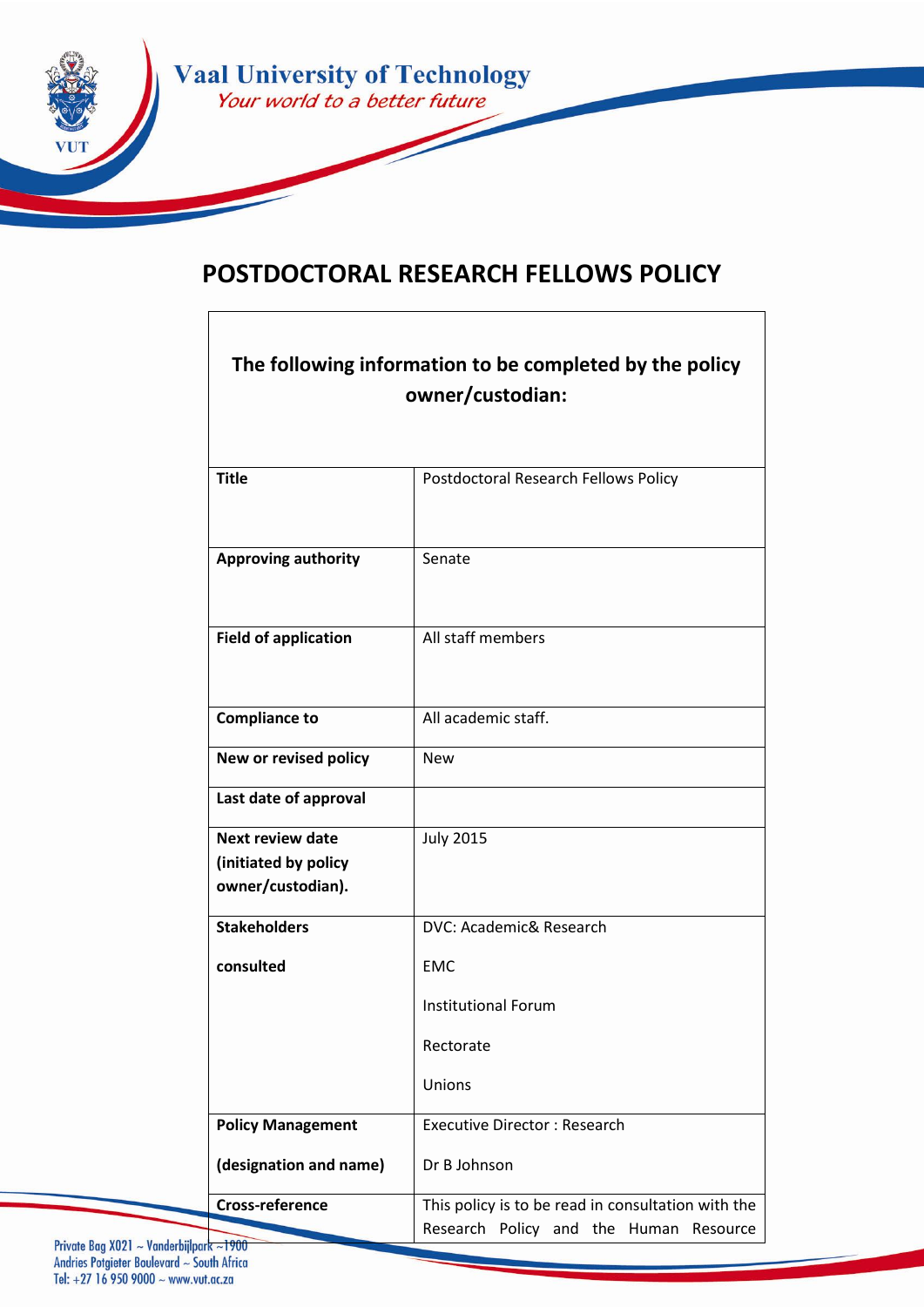

# **POSTDOCTORAL RESEARCH FELLOWS POLICY**

| The following information to be completed by the policy<br>owner/custodian: |                                                                                              |  |
|-----------------------------------------------------------------------------|----------------------------------------------------------------------------------------------|--|
|                                                                             |                                                                                              |  |
| <b>Title</b>                                                                | Postdoctoral Research Fellows Policy                                                         |  |
| <b>Approving authority</b>                                                  | Senate                                                                                       |  |
| <b>Field of application</b>                                                 | All staff members                                                                            |  |
| <b>Compliance to</b>                                                        | All academic staff.                                                                          |  |
| New or revised policy                                                       | <b>New</b>                                                                                   |  |
| Last date of approval                                                       |                                                                                              |  |
| <b>Next review date</b><br>(initiated by policy<br>owner/custodian).        | <b>July 2015</b>                                                                             |  |
| <b>Stakeholders</b>                                                         | DVC: Academic& Research                                                                      |  |
| consulted                                                                   | <b>EMC</b>                                                                                   |  |
|                                                                             | <b>Institutional Forum</b>                                                                   |  |
|                                                                             | Rectorate                                                                                    |  |
|                                                                             | Unions                                                                                       |  |
| <b>Policy Management</b>                                                    | <b>Executive Director: Research</b>                                                          |  |
| (designation and name)                                                      | Dr B Johnson                                                                                 |  |
| <b>Cross-reference</b><br>1000                                              | This policy is to be read in consultation with the<br>Research Policy and the Human Resource |  |

Private Bag X021 ~ Vanderbijlpark ~1900<br>Andries Potgieter Boulevard ~ South Africa Tel: +27 16 950 9000 ~ www.vut.ac.za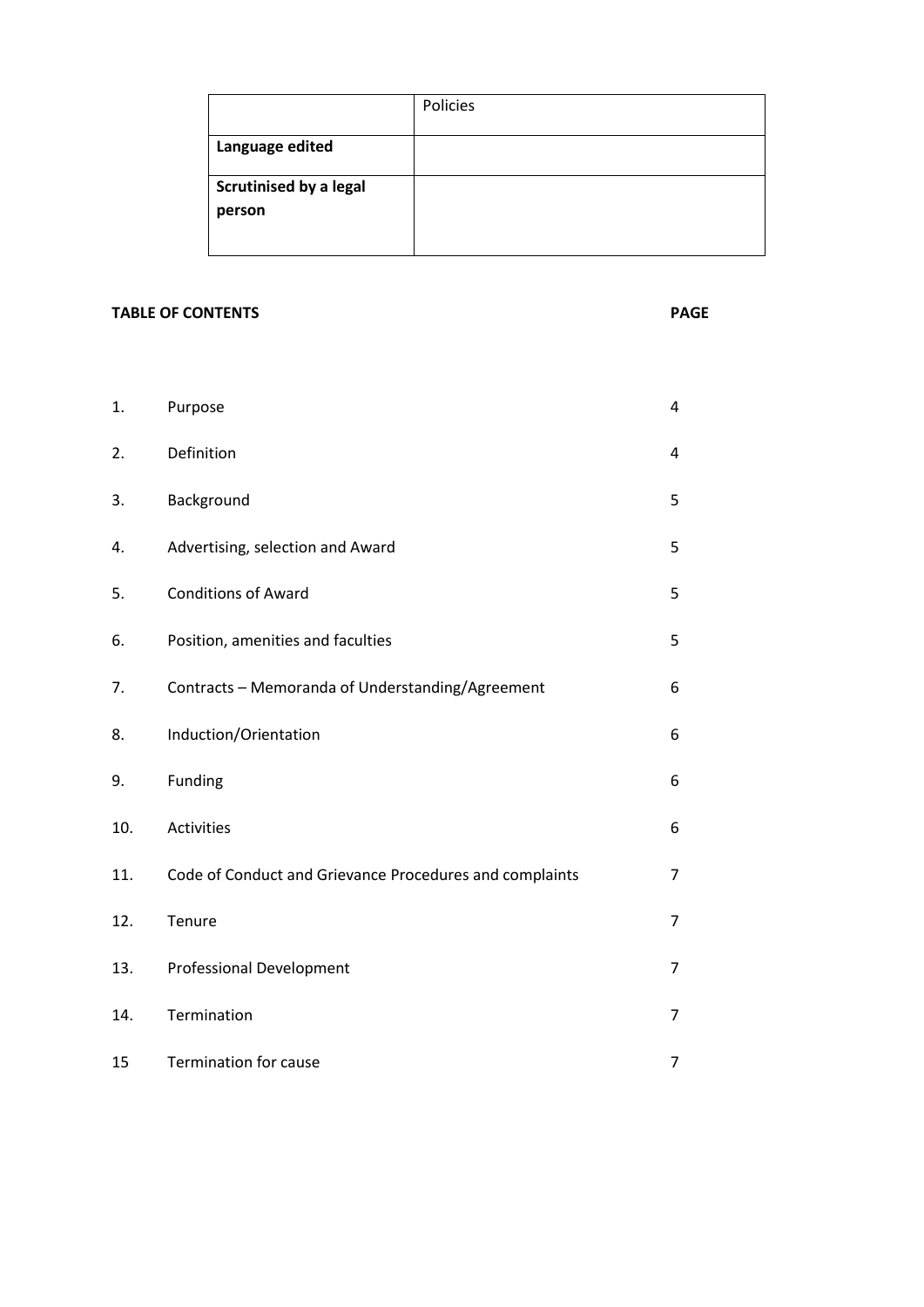|                                         | Policies |
|-----------------------------------------|----------|
| Language edited                         |          |
| <b>Scrutinised by a legal</b><br>person |          |

# **TABLE OF CONTENTS PAGE**

| 1.  | Purpose                                                 | 4              |
|-----|---------------------------------------------------------|----------------|
| 2.  | Definition                                              | 4              |
| 3.  | Background                                              | 5              |
| 4.  | Advertising, selection and Award                        | 5              |
| 5.  | <b>Conditions of Award</b>                              | 5              |
| 6.  | Position, amenities and faculties                       | 5              |
| 7.  | Contracts - Memoranda of Understanding/Agreement        | 6              |
| 8.  | Induction/Orientation                                   | 6              |
| 9.  | Funding                                                 | 6              |
| 10. | Activities                                              | 6              |
| 11. | Code of Conduct and Grievance Procedures and complaints | 7              |
| 12. | Tenure                                                  | $\overline{7}$ |
| 13. | <b>Professional Development</b>                         | 7              |
| 14. | Termination                                             | 7              |
| 15  | <b>Termination for cause</b>                            | 7              |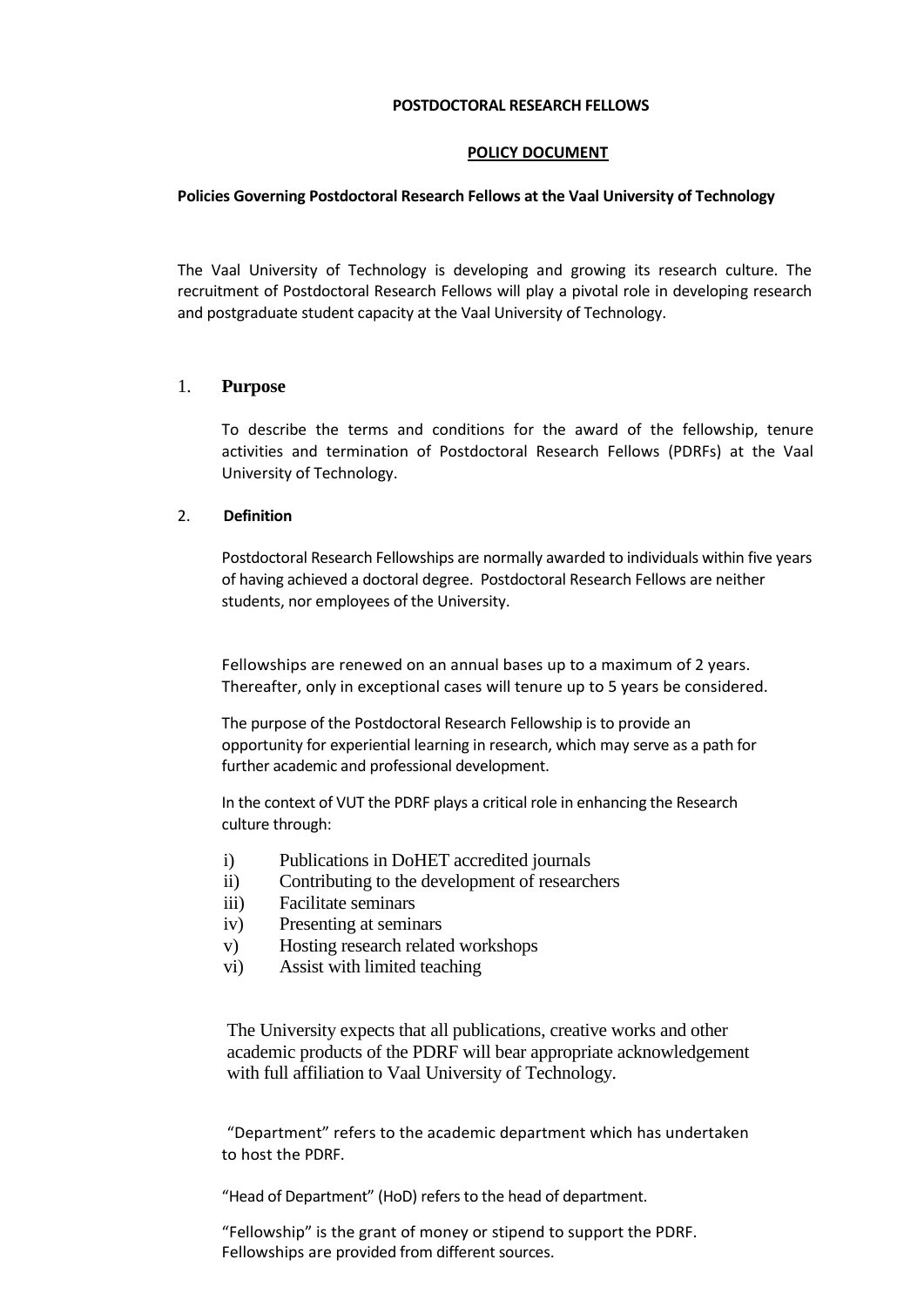#### **POSTDOCTORAL RESEARCH FELLOWS**

#### **POLICY DOCUMENT**

#### **Policies Governing Postdoctoral Research Fellows at the Vaal University of Technology**

The Vaal University of Technology is developing and growing its research culture. The recruitment of Postdoctoral Research Fellows will play a pivotal role in developing research and postgraduate student capacity at the Vaal University of Technology.

# 1. **Purpose**

To describe the terms and conditions for the award of the fellowship, tenure activities and termination of Postdoctoral Research Fellows (PDRFs) at the Vaal University of Technology.

#### 2. **Definition**

Postdoctoral Research Fellowships are normally awarded to individuals within five years of having achieved a doctoral degree. Postdoctoral Research Fellows are neither students, nor employees of the University.

Fellowships are renewed on an annual bases up to a maximum of 2 years. Thereafter, only in exceptional cases will tenure up to 5 years be considered.

The purpose of the Postdoctoral Research Fellowship is to provide an opportunity for experiential learning in research, which may serve as a path for further academic and professional development.

In the context of VUT the PDRF plays a critical role in enhancing the Research culture through:

- i) Publications in DoHET accredited journals
- ii) Contributing to the development of researchers
- iii) Facilitate seminars
- iv) Presenting at seminars
- v) Hosting research related workshops
- vi) Assist with limited teaching

The University expects that all publications, creative works and other academic products of the PDRF will bear appropriate acknowledgement with full affiliation to Vaal University of Technology.

"Department" refers to the academic department which has undertaken to host the PDRF.

"Head of Department" (HoD) refers to the head of department.

"Fellowship" is the grant of money or stipend to support the PDRF. Fellowships are provided from different sources.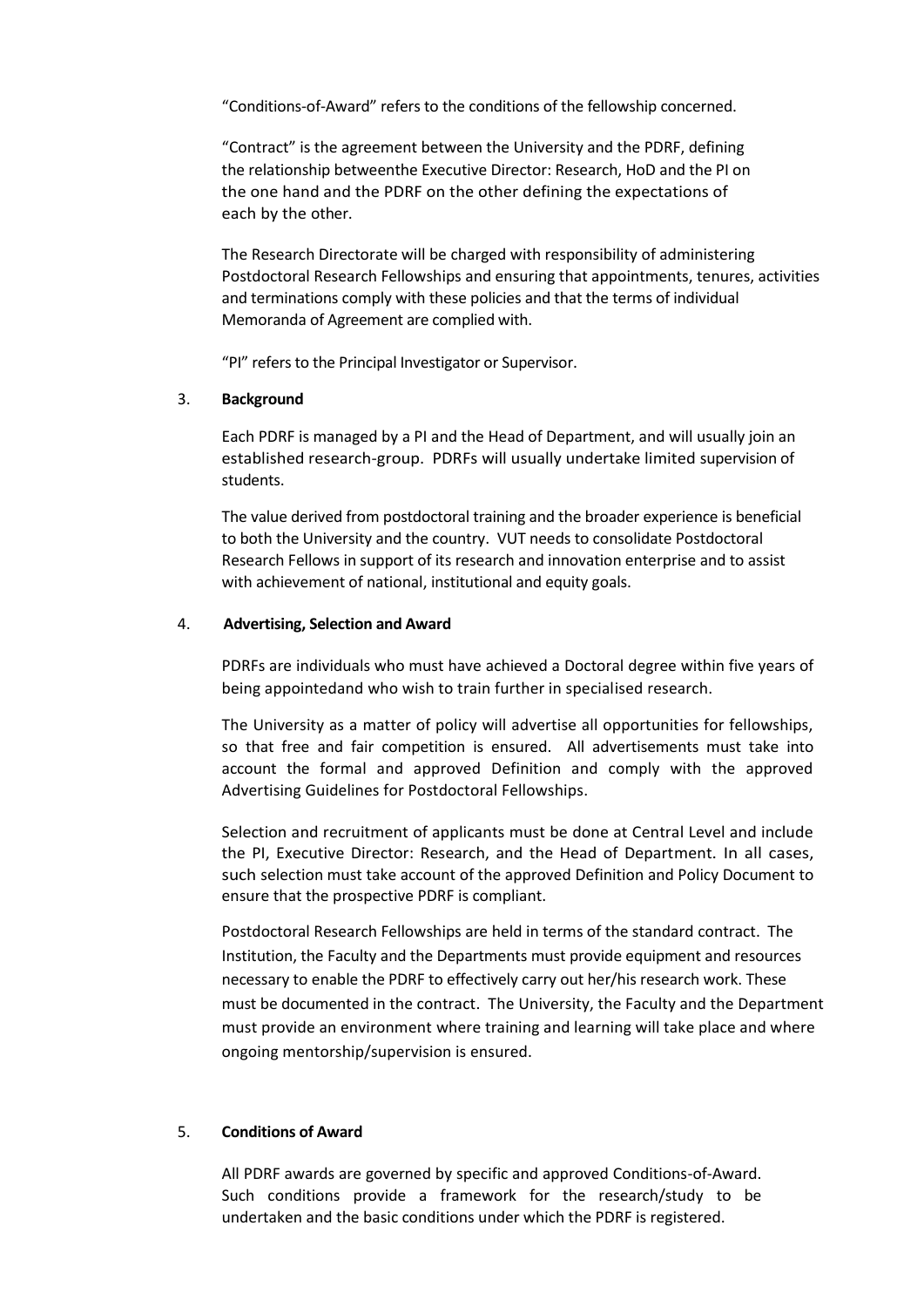"Conditions-of-Award" refers to the conditions of the fellowship concerned.

"Contract" is the agreement between the University and the PDRF, defining the relationship betweenthe Executive Director: Research, HoD and the PI on the one hand and the PDRF on the other defining the expectations of each by the other.

The Research Directorate will be charged with responsibility of administering Postdoctoral Research Fellowships and ensuring that appointments, tenures, activities and terminations comply with these policies and that the terms of individual Memoranda of Agreement are complied with.

"PI" refers to the Principal Investigator or Supervisor.

#### 3. **Background**

Each PDRF is managed by a PI and the Head of Department, and will usually join an established research-group. PDRFs will usually undertake limited supervision of students.

The value derived from postdoctoral training and the broader experience is beneficial to both the University and the country. VUT needs to consolidate Postdoctoral Research Fellows in support of its research and innovation enterprise and to assist with achievement of national, institutional and equity goals.

# 4. **Advertising, Selection and Award**

PDRFs are individuals who must have achieved a Doctoral degree within five years of being appointedand who wish to train further in specialised research.

The University as a matter of policy will advertise all opportunities for fellowships, so that free and fair competition is ensured. All advertisements must take into account the formal and approved Definition and comply with the approved Advertising Guidelines for Postdoctoral Fellowships.

Selection and recruitment of applicants must be done at Central Level and include the PI, Executive Director: Research, and the Head of Department. In all cases, such selection must take account of the approved Definition and Policy Document to ensure that the prospective PDRF is compliant.

Postdoctoral Research Fellowships are held in terms of the standard contract. The Institution, the Faculty and the Departments must provide equipment and resources necessary to enable the PDRF to effectively carry out her/his research work. These must be documented in the contract. The University, the Faculty and the Department must provide an environment where training and learning will take place and where ongoing mentorship/supervision is ensured.

# 5. **Conditions of Award**

All PDRF awards are governed by specific and approved Conditions-of-Award. Such conditions provide a framework for the research/study to be undertaken and the basic conditions under which the PDRF is registered.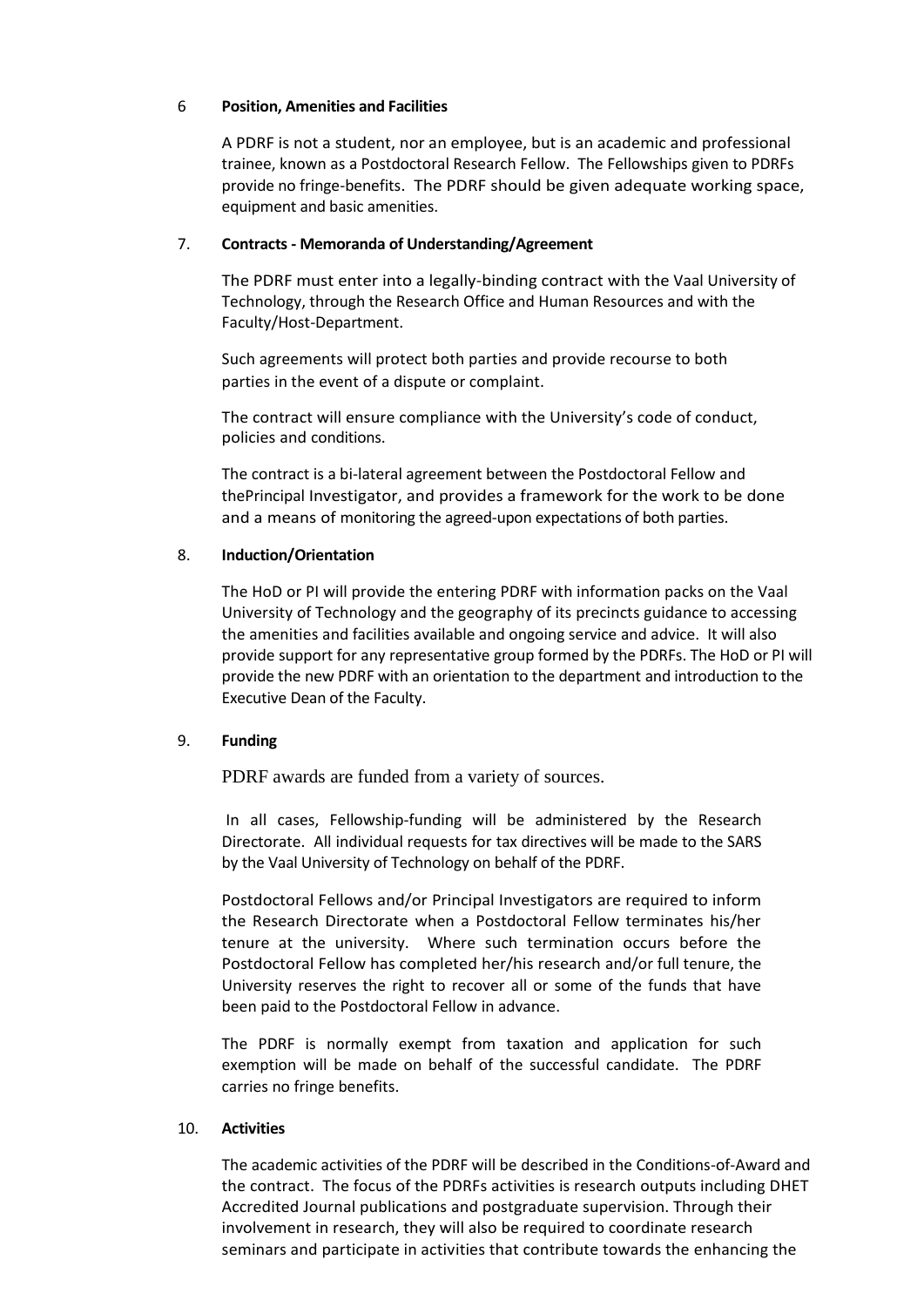# 6 **Position, Amenities and Facilities**

A PDRF is not a student, nor an employee, but is an academic and professional trainee, known as a Postdoctoral Research Fellow. The Fellowships given to PDRFs provide no fringe-benefits. The PDRF should be given adequate working space, equipment and basic amenities.

# 7. **Contracts - Memoranda of Understanding/Agreement**

The PDRF must enter into a legally-binding contract with the Vaal University of Technology, through the Research Office and Human Resources and with the Faculty/Host-Department.

Such agreements will protect both parties and provide recourse to both parties in the event of a dispute or complaint.

The contract will ensure compliance with the University's code of conduct, policies and conditions.

The contract is a bi-lateral agreement between the Postdoctoral Fellow and thePrincipal Investigator, and provides a framework for the work to be done and a means of monitoring the agreed-upon expectations of both parties.

# 8. **Induction/Orientation**

The HoD or PI will provide the entering PDRF with information packs on the Vaal University of Technology and the geography of its precincts guidance to accessing the amenities and facilities available and ongoing service and advice. It will also provide support for any representative group formed by the PDRFs. The HoD or PI will provide the new PDRF with an orientation to the department and introduction to the Executive Dean of the Faculty.

# 9. **Funding**

PDRF awards are funded from a variety of sources.

In all cases, Fellowship-funding will be administered by the Research Directorate. All individual requests for tax directives will be made to the SARS by the Vaal University of Technology on behalf of the PDRF.

Postdoctoral Fellows and/or Principal Investigators are required to inform the Research Directorate when a Postdoctoral Fellow terminates his/her tenure at the university. Where such termination occurs before the Postdoctoral Fellow has completed her/his research and/or full tenure, the University reserves the right to recover all or some of the funds that have been paid to the Postdoctoral Fellow in advance.

The PDRF is normally exempt from taxation and application for such exemption will be made on behalf of the successful candidate. The PDRF carries no fringe benefits.

# 10. **Activities**

The academic activities of the PDRF will be described in the Conditions-of-Award and the contract. The focus of the PDRFs activities is research outputs including DHET Accredited Journal publications and postgraduate supervision. Through their involvement in research, they will also be required to coordinate research seminars and participate in activities that contribute towards the enhancing the